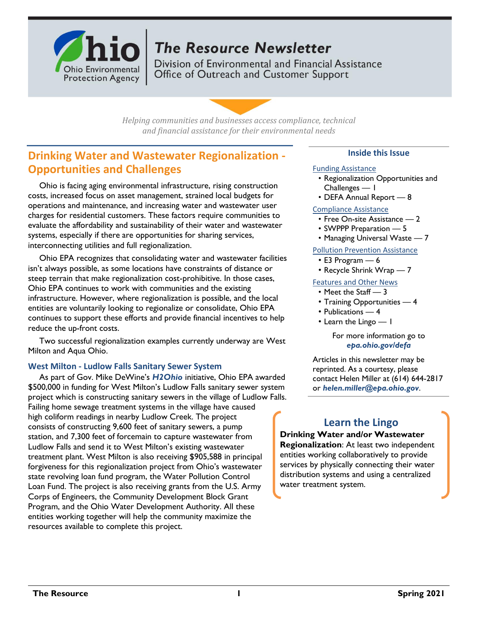

# **The Resource Newsletter**

Division of Environmental and Financial Assistance Office of Outreach and Customer Support

*Helping communities and businesses access compliance, technical and financial assistance for their environmental needs*

# **Drinking Water and Wastewater Regionalization - Opportunities and Challenges**

Ohio is facing aging environmental infrastructure, rising construction costs, increased focus on asset management, strained local budgets for operations and maintenance, and increasing water and wastewater user charges for residential customers. These factors require communities to evaluate the affordability and sustainability of their water and wastewater systems, especially if there are opportunities for sharing services, interconnecting utilities and full regionalization.

Ohio EPA recognizes that consolidating water and wastewater facilities isn't always possible, as some locations have constraints of distance or steep terrain that make regionalization cost-prohibitive. In those cases, Ohio EPA continues to work with communities and the existing infrastructure. However, where regionalization is possible, and the local entities are voluntarily looking to regionalize or consolidate, Ohio EPA continues to support these efforts and provide financial incentives to help reduce the up-front costs.

Two successful regionalization examples currently underway are West Milton and Aqua Ohio.

### **West Milton - Ludlow Falls Sanitary Sewer System**

As part of Gov. Mike DeWine's *[H2Ohio](http://h2.ohio.gov/)* initiative, Ohio EPA awarded \$500,000 in funding for West Milton's Ludlow Falls sanitary sewer system project which is constructing sanitary sewers in the village of Ludlow Falls. Failing home sewage treatment systems in the village have caused high coliform readings in nearby Ludlow Creek. The project consists of constructing 9,600 feet of sanitary sewers, a pump station, and 7,300 feet of forcemain to capture wastewater from Ludlow Falls and send it to West Milton's existing wastewater treatment plant. West Milton is also receiving \$905,588 in principal forgiveness for this regionalization project from Ohio's wastewater state revolving loan fund program, the Water Pollution Control Loan Fund. The project is also receiving grants from the U.S. Army Corps of Engineers, the Community Development Block Grant Program, and the Ohio Water Development Authority. All these entities working together will help the community maximize the resources available to complete this project.

### **Inside this Issue**

#### Funding Assistance

- Regionalization Opportunities and Challenges — 1
- DEFA Annual Report 8

#### Compliance Assistance

- Free On-site Assistance 2
- SWPPP Preparation 5
- Managing Universal Waste 7

#### Pollution Prevention Assistance

- E3 Program 6
- Recycle Shrink Wrap 7

# Features and Other News

#### • Meet the Staff — 3

- Training Opportunities 4
- Publications 4
- Learn the Lingo 1

#### For more information go to *[epa.ohio.gov/defa](http://epa.ohio.gov/defa/)*

Articles in this newsletter may be reprinted. As a courtesy, please contact Helen Miller at (614) 644-2817 or *[helen.miller@epa.ohio.gov](mailto:helen.miller@epa.ohio.gov)*.

# **Learn the Lingo**

**Drinking Water and/or Wastewater Regionalization**: At least two independent entities working collaboratively to provide services by physically connecting their water distribution systems and using a centralized water treatment system.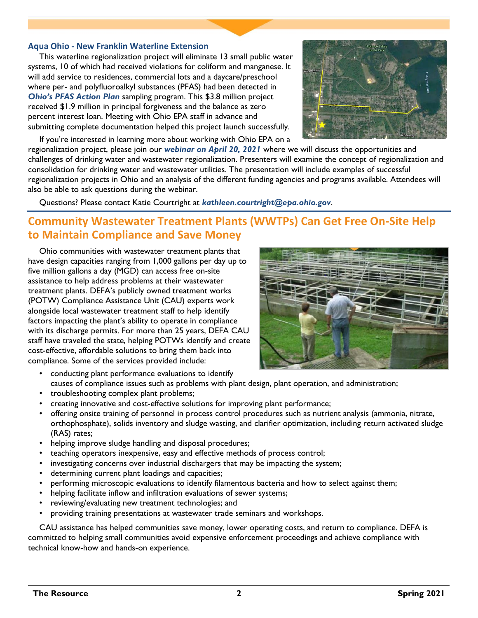#### **Aqua Ohio - New Franklin Waterline Extension**

This waterline regionalization project will eliminate 13 small public water systems, 10 of which had received violations for coliform and manganese. It will add service to residences, commercial lots and a daycare/preschool where per- and polyfluoroalkyl substances (PFAS) had been detected in *[Ohio's PFAS Action Plan](https://epa.ohio.gov/pfas#184345250-faqs)* sampling program. This \$3.8 million project received \$1.9 million in principal forgiveness and the balance as zero percent interest loan. Meeting with Ohio EPA staff in advance and submitting complete documentation helped this project launch successfully.



If you're interested in learning more about working with Ohio EPA on a

regionalization project, please join our *[webinar on April 20, 2021](https://attendee.gotowebinar.com/register/1551525668502139915)* where we will discuss the opportunities and challenges of drinking water and wastewater regionalization. Presenters will examine the concept of regionalization and consolidation for drinking water and wastewater utilities. The presentation will include examples of successful regionalization projects in Ohio and an analysis of the different funding agencies and programs available. Attendees will also be able to ask questions during the webinar.

Questions? Please contact Katie Courtright at *[kathleen.courtright@epa.ohio.gov](mailto:kathleen.courtright@epa.ohio.gov)*.

# **Community Wastewater Treatment Plants (WWTPs) Can Get Free On-Site Help to Maintain Compliance and Save Money**

Ohio communities with wastewater treatment plants that have design capacities ranging from 1,000 gallons per day up to five million gallons a day (MGD) can access free on-site assistance to help address problems at their wastewater treatment plants. DEFA's publicly owned treatment works (POTW) Compliance Assistance Unit (CAU) experts work alongside local wastewater treatment staff to help identify factors impacting the plant's ability to operate in compliance with its discharge permits. For more than 25 years, DEFA CAU staff have traveled the state, helping POTWs identify and create cost-effective, affordable solutions to bring them back into compliance. Some of the services provided include:



- conducting plant performance evaluations to identify causes of compliance issues such as problems with plant design, plant operation, and administration;
- troubleshooting complex plant problems;
- creating innovative and cost-effective solutions for improving plant performance;
- offering onsite training of personnel in process control procedures such as nutrient analysis (ammonia, nitrate, orthophosphate), solids inventory and sludge wasting, and clarifier optimization, including return activated sludge (RAS) rates;
- helping improve sludge handling and disposal procedures;
- teaching operators inexpensive, easy and effective methods of process control;
- investigating concerns over industrial dischargers that may be impacting the system;
- determining current plant loadings and capacities;
- performing microscopic evaluations to identify filamentous bacteria and how to select against them;
- helping facilitate inflow and infiltration evaluations of sewer systems;
- reviewing/evaluating new treatment technologies; and
- providing training presentations at wastewater trade seminars and workshops.

CAU assistance has helped communities save money, lower operating costs, and return to compliance. DEFA is committed to helping small communities avoid expensive enforcement proceedings and achieve compliance with technical know-how and hands-on experience.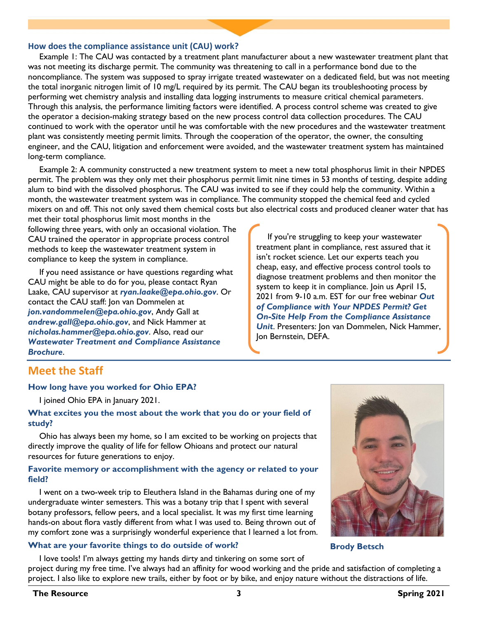#### **How does the compliance assistance unit (CAU) work?**

Example 1: The CAU was contacted by a treatment plant manufacturer about a new wastewater treatment plant that was not meeting its discharge permit. The community was threatening to call in a performance bond due to the noncompliance. The system was supposed to spray irrigate treated wastewater on a dedicated field, but was not meeting the total inorganic nitrogen limit of 10 mg/L required by its permit. The CAU began its troubleshooting process by performing wet chemistry analysis and installing data logging instruments to measure critical chemical parameters. Through this analysis, the performance limiting factors were identified. A process control scheme was created to give the operator a decision-making strategy based on the new process control data collection procedures. The CAU continued to work with the operator until he was comfortable with the new procedures and the wastewater treatment plant was consistently meeting permit limits. Through the cooperation of the operator, the owner, the consulting engineer, and the CAU, litigation and enforcement were avoided, and the wastewater treatment system has maintained long-term compliance.

Example 2: A community constructed a new treatment system to meet a new total phosphorus limit in their NPDES permit. The problem was they only met their phosphorus permit limit nine times in 53 months of testing, despite adding alum to bind with the dissolved phosphorus. The CAU was invited to see if they could help the community. Within a month, the wastewater treatment system was in compliance. The community stopped the chemical feed and cycled mixers on and off. This not only saved them chemical costs but also electrical costs and produced cleaner water that has

met their total phosphorus limit most months in the following three years, with only an occasional violation. The CAU trained the operator in appropriate process control methods to keep the wastewater treatment system in compliance to keep the system in compliance.

If you need assistance or have questions regarding what CAU might be able to do for you, please contact Ryan Laake, CAU supervisor at *[ryan.laake@epa.ohio.gov](mailto:ryan.laake@epa.ohio.gov)*. Or contact the CAU staff: Jon van Dommelen at *[jon.vandommelen@epa.ohio.gov](mailto:jon.vandommelen@epa.ohio.gov)*, Andy Gall at *[andrew.gall@epa.ohio.gov](mailto:andrew.gall@epa.ohio.gov)*, and Nick Hammer at *[nicholas.hammer@epa.ohio.gov](mailto:nicholas.hammer@epa.ohio.gov)*. Also, read our *[Wastewater Treatment and Compliance Assistance](https://epa.ohio.gov/Portals/29/documents/1783_WWcomplianceassistance_palmcd-WEB-Final.pdf)  [Brochure](https://epa.ohio.gov/Portals/29/documents/1783_WWcomplianceassistance_palmcd-WEB-Final.pdf)*.

If you're struggling to keep your wastewater treatment plant in compliance, rest assured that it isn't rocket science. Let our experts teach you cheap, easy, and effective process control tools to diagnose treatment problems and then monitor the system to keep it in compliance. Join us April 15, 2021 from 9-10 a.m. EST for our free webinar *[Out](https://register.gotowebinar.com/register/3906676276663653899)  [of Compliance with Your NPDES Permit? Get](https://register.gotowebinar.com/register/3906676276663653899)  [On-Site Help From the Compliance Assistance](https://register.gotowebinar.com/register/3906676276663653899)  [Unit](https://register.gotowebinar.com/register/3906676276663653899)*. Presenters: Jon van Dommelen, Nick Hammer, Jon Bernstein, DEFA.

# **Meet the Staff**

#### **How long have you worked for Ohio EPA?**

I joined Ohio EPA in January 2021.

#### **What excites you the most about the work that you do or your field of study?**

Ohio has always been my home, so I am excited to be working on projects that directly improve the quality of life for fellow Ohioans and protect our natural resources for future generations to enjoy.

#### **Favorite memory or accomplishment with the agency or related to your field?**

I went on a two-week trip to Eleuthera Island in the Bahamas during one of my undergraduate winter semesters. This was a botany trip that I spent with several botany professors, fellow peers, and a local specialist. It was my first time learning hands-on about flora vastly different from what I was used to. Being thrown out of my comfort zone was a surprisingly wonderful experience that I learned a lot from.

#### **What are your favorite things to do outside of work?**

**Brody Betsch**

I love tools! I'm always getting my hands dirty and tinkering on some sort of project during my free time. I've always had an affinity for wood working and the pride and satisfaction of completing a project. I also like to explore new trails, either by foot or by bike, and enjoy nature without the distractions of life.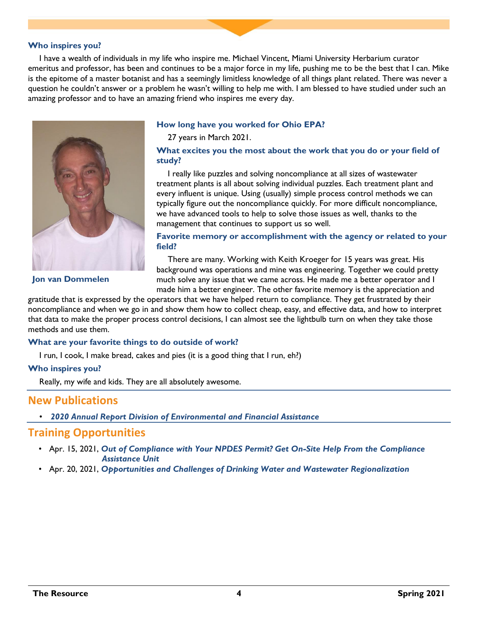#### **Who inspires you?**

I have a wealth of individuals in my life who inspire me. Michael Vincent, Miami University Herbarium curator emeritus and professor, has been and continues to be a major force in my life, pushing me to be the best that I can. Mike is the epitome of a master botanist and has a seemingly limitless knowledge of all things plant related. There was never a question he couldn't answer or a problem he wasn't willing to help me with. I am blessed to have studied under such an amazing professor and to have an amazing friend who inspires me every day.



#### **How long have you worked for Ohio EPA?**

27 years in March 2021.

#### **What excites you the most about the work that you do or your field of study?**

I really like puzzles and solving noncompliance at all sizes of wastewater treatment plants is all about solving individual puzzles. Each treatment plant and every influent is unique. Using (usually) simple process control methods we can typically figure out the noncompliance quickly. For more difficult noncompliance, we have advanced tools to help to solve those issues as well, thanks to the management that continues to support us so well.

#### **Favorite memory or accomplishment with the agency or related to your field?**

There are many. Working with Keith Kroeger for 15 years was great. His background was operations and mine was engineering. Together we could pretty much solve any issue that we came across. He made me a better operator and I made him a better engineer. The other favorite memory is the appreciation and

gratitude that is expressed by the operators that we have helped return to compliance. They get frustrated by their noncompliance and when we go in and show them how to collect cheap, easy, and effective data, and how to interpret that data to make the proper process control decisions, I can almost see the lightbulb turn on when they take those methods and use them.

#### **What are your favorite things to do outside of work?**

I run, I cook, I make bread, cakes and pies (it is a good thing that I run, eh?)

#### **Who inspires you?**

Really, my wife and kids. They are all absolutely awesome.

# **New Publications**

• *[2020 Annual Report Division of Environmental and Financial Assistance](https://epa.ohio.gov/Portals/29/documents/2020AnnualReport.pdf)*

### **Training Opportunities**

- Apr. 15, 2021, *[Out of Compliance with Your NPDES Permit? Get On-Site Help From the Compliance](https://register.gotowebinar.com/register/3906676276663653899) [Assistance Unit](https://register.gotowebinar.com/register/3906676276663653899)*
- Apr. 20, 2021, *[Opportunities and Challenges of Drinking Water and Wastewater Regionalization](https://register.gotowebinar.com/register/1551525668502139915)*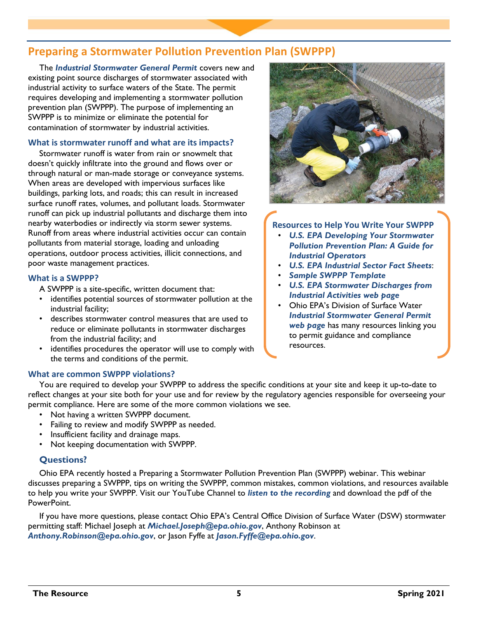# **Preparing a Stormwater Pollution Prevention Plan (SWPPP)**

The *[Industrial Stormwater General Permit](https://www.epa.ohio.gov/dsw/permits/gp_industrialstormwater#153894567-final-permit)* covers new and existing point source discharges of stormwater associated with industrial activity to surface waters of the State. The permit requires developing and implementing a stormwater pollution prevention plan (SWPPP). The purpose of implementing an SWPPP is to minimize or eliminate the potential for contamination of stormwater by industrial activities.

#### **What is stormwater runoff and what are its impacts?**

Stormwater runoff is water from rain or snowmelt that doesn't quickly infiltrate into the ground and flows over or through natural or man-made storage or conveyance systems. When areas are developed with impervious surfaces like buildings, parking lots, and roads; this can result in increased surface runoff rates, volumes, and pollutant loads. Stormwater runoff can pick up industrial pollutants and discharge them into nearby waterbodies or indirectly via storm sewer systems. Runoff from areas where industrial activities occur can contain pollutants from material storage, loading and unloading operations, outdoor process activities, illicit connections, and poor waste management practices.

#### **What is a SWPPP?**

A SWPPP is a site-specific, written document that:

- identifies potential sources of stormwater pollution at the industrial facility;
- describes stormwater control measures that are used to reduce or eliminate pollutants in stormwater discharges from the industrial facility; and
- identifies procedures the operator will use to comply with the terms and conditions of the permit.

### **What are common SWPPP violations?**

**Resources to Help You Write Your SWPPP**

- *[U.S. EPA Developing Your Stormwater](https://www.epa.gov/sites/production/files/2015-11/documents/swppp_guide_industrial_2015.pdf)  [Pollution Prevention Plan: A Guide for](https://www.epa.gov/sites/production/files/2015-11/documents/swppp_guide_industrial_2015.pdf)  [Industrial Operators](https://www.epa.gov/sites/production/files/2015-11/documents/swppp_guide_industrial_2015.pdf)*
- *[U.S. EPA Industrial Sector Fact Sheets](epa.gov/npdes/stormwater-discharges-industrial-activities#factsheets)*:
- *[Sample SWPPP Template](epa.ohio.gov/dsw/permits/GP_IndustrialStormWater#153894568-permit-guidance-compliance-and-support)*
- *[U.S. EPA Stormwater Discharges from](https://www.epa.gov/npdes/stormwater-discharges-industrial-activities)  [Industrial Activities web page](https://www.epa.gov/npdes/stormwater-discharges-industrial-activities)*
- Ohio EPA's Division of Surface Water *[Industrial Stormwater General Permit](https://www.epa.ohio.gov/dsw/permits/gp_industrialstormwater#153894568-permit-guidance-compliance-and-support)  [web page](https://www.epa.ohio.gov/dsw/permits/gp_industrialstormwater#153894568-permit-guidance-compliance-and-support)* has many resources linking you to permit guidance and compliance resources.

You are required to develop your SWPPP to address the specific conditions at your site and keep it up-to-date to reflect changes at your site both for your use and for review by the regulatory agencies responsible for overseeing your permit compliance. Here are some of the more common violations we see.

- Not having a written SWPPP document.
- Failing to review and modify SWPPP as needed.
- Insufficient facility and drainage maps.
- Not keeping documentation with SWPPP.

### **Questions?**

Ohio EPA recently hosted a Preparing a Stormwater Pollution Prevention Plan (SWPPP) webinar. This webinar discusses preparing a SWPPP, tips on writing the SWPPP, common mistakes, common violations, and resources available to help you write your SWPPP. Visit our YouTube Channel to *[listen to the recording](https://www.youtube.com/watch?v=o2zEX98HJuc)* and download the pdf of the PowerPoint.

If you have more questions, please contact Ohio EPA's Central Office Division of Surface Water (DSW) stormwater permitting staff: Michael Joseph at *[Michael.Joseph@epa.ohio.gov](mailto:Michael.Joseph@epa.ohio.gov)*, Anthony Robinson at *[Anthony.Robinson@epa.ohio.gov](mailto:Anthony.Robinson@epa.ohio.gov)*, or Jason Fyffe at *[Jason.Fyffe@epa.ohio.gov](mailto:Jason.Fyffe@epa.ohio.gov)*.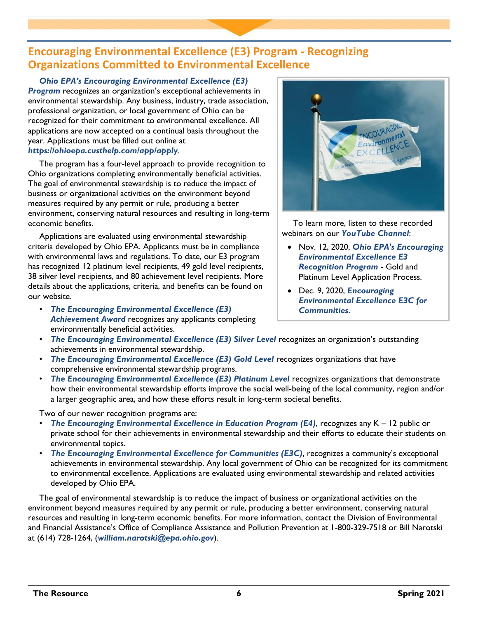# **Encouraging Environmental Excellence (E3) Program - Recognizing Organizations Committed to Environmental Excellence**

# *[Ohio EPA's Encouraging Environmental Exce](https://epa.ohio.gov/ocapp/ohioe3)llence (E3)*

*[Program](https://epa.ohio.gov/ocapp/ohioe3)* recognizes an organization's exceptional achievements in environmental stewardship. Any business, industry, trade association, professional organization, or local government of Ohio can be recognized for their commitment to environmental excellence. All applications are now accepted on a continual basis throughout the year. Applications must be filled out online at *<https://ohioepa.custhelp.com/app/apply>*.

The program has a four-level approach to provide recognition to Ohio organizations completing environmentally beneficial activities. The goal of environmental stewardship is to reduce the impact of business or organizational activities on the environment beyond measures required by any permit or rule, producing a better environment, conserving natural resources and resulting in long-term economic benefits.

Applications are evaluated using environmental stewardship criteria developed by Ohio EPA. Applicants must be in compliance with environmental laws and regulations. To date, our E3 program has recognized 12 platinum level recipients, 49 gold level recipients, 38 silver level recipients, and 80 achievement level recipients. More details about the applications, criteria, and benefits can be found on our website.

• *[The Encouraging Environmental Excellence \(E3\)](https://epa.ohio.gov/ocapp/ohioe3#1898510747-achievement) [Achievement Award](https://epa.ohio.gov/ocapp/ohioe3#1898510747-achievement)* recognizes any applicants completing environmentally beneficial activities.



To learn more, listen to these recorded webinars on our *[YouTube Channel](http://www.youtube.com/user/PIC1049)*:

- Nov. 12, 2020, *[Ohio EPA's Encouraging](https://www.youtube.com/watch?v=ijGpEDKY7Dg) [Environmental Excellence E3](https://www.youtube.com/watch?v=ijGpEDKY7Dg) [Recognition Program](https://www.youtube.com/watch?v=ijGpEDKY7Dg)* - Gold and Platinum Level Application Process.
- Dec. 9, 2020, *[Encouraging](https://www.youtube.com/watch?v=9uWqvZUBSsg) [Environmental Excellence E3C for](https://www.youtube.com/watch?v=9uWqvZUBSsg) [Communities](https://www.youtube.com/watch?v=9uWqvZUBSsg)*.
- *[The Encouraging Environmental Excellence \(E3\) Silver Level](https://epa.ohio.gov/ocapp/ohioe3#1898510748-silver)* recognizes an organization's outstanding achievements in environmental stewardship.
- [The Encouraging Environmental Excellence \(E3\) Gold Level](https://epa.ohio.gov/ocapp/ohioe3#1898510749-gold) recognizes organizations that have comprehensive environmental stewardship programs.
- *[The Encouraging Environmental Excellence \(E3\) Platinum Level](https://epa.ohio.gov/ocapp/ohioe3#1898510750-platinum)* recognizes organizations that demonstrate how their environmental stewardship efforts improve the social well-being of the local community, region and/or a larger geographic area, and how these efforts result in long-term societal benefits.

Two of our newer recognition programs are:

- *[The Encouraging Environmental Excellence in Education Program \(E4\)](https://epa.ohio.gov/ocapp/ohioe3#189255285-k-12-schools-e4)*, recognizes any K 12 public or private school for their achievements in environmental stewardship and their efforts to educate their students on environmental topics.
- *[The Encouraging Environmental Excellence for Communities \(E3C\)](https://epa.ohio.gov/ocapp/ohioe3#189255376-communities-e3c)*, recognizes a community's exceptional achievements in environmental stewardship. Any local government of Ohio can be recognized for its commitment to environmental excellence. Applications are evaluated using environmental stewardship and related activities developed by Ohio EPA.

The goal of environmental stewardship is to reduce the impact of business or organizational activities on the environment beyond measures required by any permit or rule, producing a better environment, conserving natural resources and resulting in long-term economic benefits. For more information, contact the Division of Environmental and Financial Assistance's Office of Compliance Assistance and Pollution Prevention at 1-800-329-7518 or Bill Narotski at (614) 728-1264, (*[william.narotski@epa.ohio.gov](mailto:william.narotski@epa.ohio.gov)*).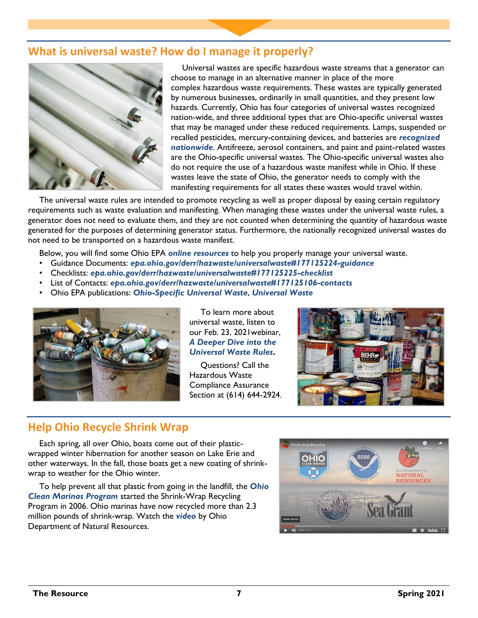# **What is universal waste? How do I manage it properly?**



Universal wastes are specific hazardous waste streams that a generator can choose to manage in an alternative manner in place of the more complex hazardous waste requirements. These wastes are typically generated by numerous businesses, ordinarily in small quantities, and they present low hazards. Currently, Ohio has four categories of universal wastes recognized nation-wide, and three additional types that are Ohio-specific universal wastes that may be managed under these reduced requirements. Lamps, suspended or recalled pesticides, mercury-containing devices, and batteries are *[recognized](https://www.epa.gov/hw/state-universal-waste-programs-united-states)  [nationwide](https://www.epa.gov/hw/state-universal-waste-programs-united-states)*. Antifreeze, aerosol containers, and paint and paint-related wastes are the Ohio-specific universal wastes. The Ohio-specific universal wastes also do not require the use of a hazardous waste manifest while in Ohio. If these wastes leave the state of Ohio, the generator needs to comply with the manifesting requirements for all states these wastes would travel within.

The universal waste rules are intended to promote recycling as well as proper disposal by easing certain regulatory requirements such as waste evaluation and manifesting. When managing these wastes under the universal waste rules, a generator does not need to evaluate them, and they are not counted when determining the quantity of hazardous waste generated for the purposes of determining generator status. Furthermore, the nationally recognized universal wastes do not need to be transported on a hazardous waste manifest.

Below, you will find some Ohio EPA *[online resources](https://epa.ohio.gov/derr/hazwaste/universalwaste)* to help you properly manage your universal waste.

- Guidance Documents: *[epa.ohio.gov/derr/hazwaste/universalwaste#177125224-guidance](https://epa.ohio.gov/derr/hazwaste/universalwaste#177125224-guidance)*
- Checklists: *[epa.ohio.gov/derr/hazwaste/universalwaste#177125225-checklist](https://epa.ohio.gov/derr/hazwaste/universalwaste#177125225-checklist)*
- List of Contacts: *[epa.ohio.gov/derr/hazwaste/universalwaste#177125106-contacts](https://epa.ohio.gov/derr/hazwaste/universalwaste#177125106-contacts)*
- Ohio EPA publications: *[Ohio-Specific Universal](https://www.epa.ohio.gov/portals/32/pdf/UW%20Ohio%20Specific%2018.pdf) Waste*, *[Universal Waste](https://epa.ohio.gov/portals/32/pdf/New_Universal_Waste_Guidance.pdf)*



To learn more about universal waste, listen to our Feb. 23, 2021webinar, *[A Deeper Dive into the](https://www.youtube.com/watch?v=i5RG4AZ6O-0)  [Universal Waste Rules](https://www.youtube.com/watch?v=i5RG4AZ6O-0)***.** 

Questions? Call the Hazardous Waste Compliance Assurance Section at (614) 644-2924.



# **Help Ohio Recycle Shrink Wrap**

Each spring, all over Ohio, boats come out of their plasticwrapped winter hibernation for another season on Lake Erie and other waterways. In the fall, those boats get a new coating of shrinkwrap to weather for the Ohio winter.

To help prevent all that plastic from going in the landfill, the *[Ohio](https://ohioseagrant.osu.edu/clean)  [Clean Marinas Program](https://ohioseagrant.osu.edu/clean)* started the Shrink-Wrap Recycling Program in 2006. Ohio marinas have now recycled more than 2.3 million pounds of shrink-wrap. Watch the *[video](https://ohioseagrant.osu.edu/news/2021/vsyv7/shrinkwrap-video)* by Ohio Department of Natural Resources.

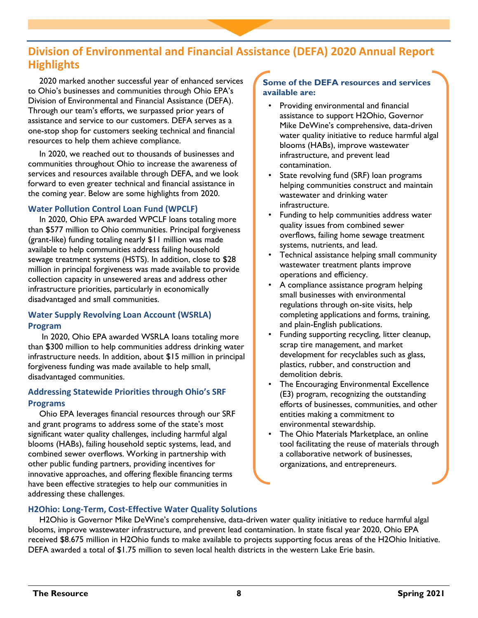# **Division of Environmental and Financial Assistance (DEFA) 2020 Annual Report Highlights**

2020 marked another successful year of enhanced services to Ohio's businesses and communities through Ohio EPA's Division of Environmental and Financial Assistance (DEFA). Through our team's efforts, we surpassed prior years of assistance and service to our customers. DEFA serves as a one-stop shop for customers seeking technical and financial resources to help them achieve compliance.

In 2020, we reached out to thousands of businesses and communities throughout Ohio to increase the awareness of services and resources available through DEFA, and we look forward to even greater technical and financial assistance in the coming year. Below are some highlights from 2020.

# **Water Pollution Control Loan Fund (WPCLF)**

In 2020, Ohio EPA awarded WPCLF loans totaling more than \$577 million to Ohio communities. Principal forgiveness (grant-like) funding totaling nearly \$11 million was made available to help communities address failing household sewage treatment systems (HSTS). In addition, close to \$28 million in principal forgiveness was made available to provide collection capacity in unsewered areas and address other infrastructure priorities, particularly in economically disadvantaged and small communities.

# **Water Supply Revolving Loan Account (WSRLA) Program**

In 2020, Ohio EPA awarded WSRLA loans totaling more than \$300 million to help communities address drinking water infrastructure needs. In addition, about \$15 million in principal forgiveness funding was made available to help small, disadvantaged communities.

# **Addressing Statewide Priorities through Ohio's SRF Programs**

Ohio EPA leverages financial resources through our SRF and grant programs to address some of the state's most significant water quality challenges, including harmful algal blooms (HABs), failing household septic systems, lead, and combined sewer overflows. Working in partnership with other public funding partners, providing incentives for innovative approaches, and offering flexible financing terms have been effective strategies to help our communities in addressing these challenges.

### **Some of the DEFA resources and services available are:**

- Providing environmental and financial assistance to support H2Ohio, Governor Mike DeWine's comprehensive, data-driven water quality initiative to reduce harmful algal blooms (HABs), improve wastewater infrastructure, and prevent lead contamination.
- State revolving fund (SRF) loan programs helping communities construct and maintain wastewater and drinking water infrastructure.
- Funding to help communities address water quality issues from combined sewer overflows, failing home sewage treatment systems, nutrients, and lead.
- Technical assistance helping small community wastewater treatment plants improve operations and efficiency.
- A compliance assistance program helping small businesses with environmental regulations through on-site visits, help completing applications and forms, training, and plain-English publications.
- Funding supporting recycling, litter cleanup, scrap tire management, and market development for recyclables such as glass, plastics, rubber, and construction and demolition debris.
- The Encouraging Environmental Excellence (E3) program, recognizing the outstanding efforts of businesses, communities, and other entities making a commitment to environmental stewardship.
- The Ohio Materials Marketplace, an online tool facilitating the reuse of materials through a collaborative network of businesses, organizations, and entrepreneurs.

# **H2Ohio: Long-Term, Cost-Effective Water Quality Solutions**

H2Ohio is Governor Mike DeWine's comprehensive, data-driven water quality initiative to reduce harmful algal blooms, improve wastewater infrastructure, and prevent lead contamination. In state fiscal year 2020, Ohio EPA received \$8.675 million in H2Ohio funds to make available to projects supporting focus areas of the H2Ohio Initiative. DEFA awarded a total of \$1.75 million to seven local health districts in the western Lake Erie basin.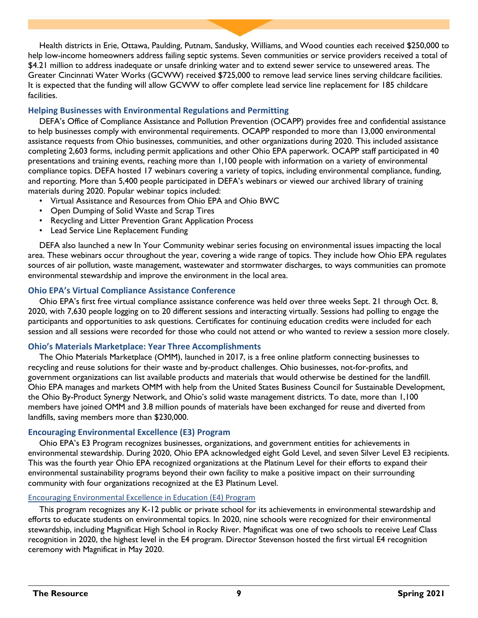Health districts in Erie, Ottawa, Paulding, Putnam, Sandusky, Williams, and Wood counties each received \$250,000 to help low-income homeowners address failing septic systems. Seven communities or service providers received a total of \$4.21 million to address inadequate or unsafe drinking water and to extend sewer service to unsewered areas. The Greater Cincinnati Water Works (GCWW) received \$725,000 to remove lead service lines serving childcare facilities. It is expected that the funding will allow GCWW to offer complete lead service line replacement for 185 childcare facilities.

### **Helping Businesses with Environmental Regulations and Permitting**

DEFA's Office of Compliance Assistance and Pollution Prevention (OCAPP) provides free and confidential assistance to help businesses comply with environmental requirements. OCAPP responded to more than 13,000 environmental assistance requests from Ohio businesses, communities, and other organizations during 2020. This included assistance completing 2,603 forms, including permit applications and other Ohio EPA paperwork. OCAPP staff participated in 40 presentations and training events, reaching more than 1,100 people with information on a variety of environmental compliance topics. DEFA hosted 17 webinars covering a variety of topics, including environmental compliance, funding, and reporting. More than 5,400 people participated in DEFA's webinars or viewed our archived library of training materials during 2020. Popular webinar topics included:

- Virtual Assistance and Resources from Ohio EPA and Ohio BWC
- Open Dumping of Solid Waste and Scrap Tires
- Recycling and Litter Prevention Grant Application Process
- Lead Service Line Replacement Funding

DEFA also launched a new In Your Community webinar series focusing on environmental issues impacting the local area. These webinars occur throughout the year, covering a wide range of topics. They include how Ohio EPA regulates sources of air pollution, waste management, wastewater and stormwater discharges, to ways communities can promote environmental stewardship and improve the environment in the local area.

#### **Ohio EPA's Virtual Compliance Assistance Conference**

Ohio EPA's first free virtual compliance assistance conference was held over three weeks Sept. 21 through Oct. 8, 2020, with 7,630 people logging on to 20 different sessions and interacting virtually. Sessions had polling to engage the participants and opportunities to ask questions. Certificates for continuing education credits were included for each session and all sessions were recorded for those who could not attend or who wanted to review a session more closely.

#### **Ohio's Materials Marketplace: Year Three Accomplishments**

The Ohio Materials Marketplace (OMM), launched in 2017, is a free online platform connecting businesses to recycling and reuse solutions for their waste and by-product challenges. Ohio businesses, not-for-profits, and government organizations can list available products and materials that would otherwise be destined for the landfill. Ohio EPA manages and markets OMM with help from the United States Business Council for Sustainable Development, the Ohio By-Product Synergy Network, and Ohio's solid waste management districts. To date, more than 1,100 members have joined OMM and 3.8 million pounds of materials have been exchanged for reuse and diverted from landfills, saving members more than \$230,000.

#### **Encouraging Environmental Excellence (E3) Program**

Ohio EPA's E3 Program recognizes businesses, organizations, and government entities for achievements in environmental stewardship. During 2020, Ohio EPA acknowledged eight Gold Level, and seven Silver Level E3 recipients. This was the fourth year Ohio EPA recognized organizations at the Platinum Level for their efforts to expand their environmental sustainability programs beyond their own facility to make a positive impact on their surrounding community with four organizations recognized at the E3 Platinum Level.

#### Encouraging Environmental Excellence in Education (E4) Program

This program recognizes any K-12 public or private school for its achievements in environmental stewardship and efforts to educate students on environmental topics. In 2020, nine schools were recognized for their environmental stewardship, including Magnificat High School in Rocky River. Magnificat was one of two schools to receive Leaf Class recognition in 2020, the highest level in the E4 program. Director Stevenson hosted the first virtual E4 recognition ceremony with Magnificat in May 2020.